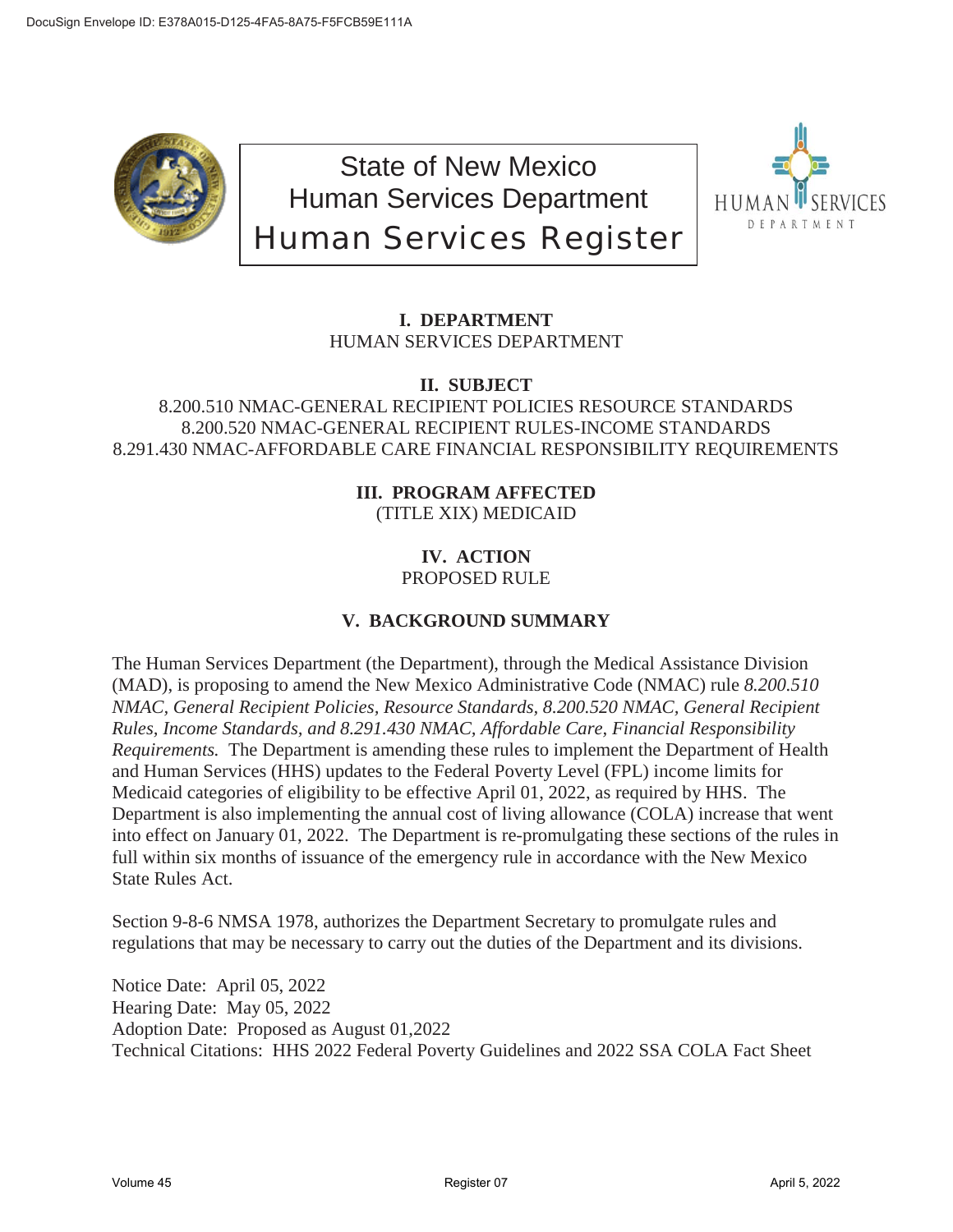

State of New Mexico Human Services Department Human Services Register



# **I. DEPARTMENT** HUMAN SERVICES DEPARTMENT

**II. SUBJECT**

## 8.200.510 NMAC-GENERAL RECIPIENT POLICIES RESOURCE STANDARDS 8.200.520 NMAC-GENERAL RECIPIENT RULES-INCOME STANDARDS 8.291.430 NMAC-AFFORDABLE CARE FINANCIAL RESPONSIBILITY REQUIREMENTS

## **III. PROGRAM AFFECTED** (TITLE XIX) MEDICAID

## **IV. ACTION** PROPOSED RULE

# **V. BACKGROUND SUMMARY**

The Human Services Department (the Department), through the Medical Assistance Division (MAD), is proposing to amend the New Mexico Administrative Code (NMAC) rule *8.200.510 NMAC, General Recipient Policies, Resource Standards, 8.200.520 NMAC, General Recipient Rules, Income Standards, and 8.291.430 NMAC, Affordable Care, Financial Responsibility Requirements.* The Department is amending these rules to implement the Department of Health and Human Services (HHS) updates to the Federal Poverty Level (FPL) income limits for Medicaid categories of eligibility to be effective April 01, 2022, as required by HHS. The Department is also implementing the annual cost of living allowance (COLA) increase that went into effect on January 01, 2022. The Department is re-promulgating these sections of the rules in full within six months of issuance of the emergency rule in accordance with the New Mexico State Rules Act.

Section 9-8-6 NMSA 1978, authorizes the Department Secretary to promulgate rules and regulations that may be necessary to carry out the duties of the Department and its divisions.

Notice Date: April 05, 2022 Hearing Date: May 05, 2022 Adoption Date: Proposed as August 01,2022 Technical Citations: HHS 2022 Federal Poverty Guidelines and 2022 SSA COLA Fact Sheet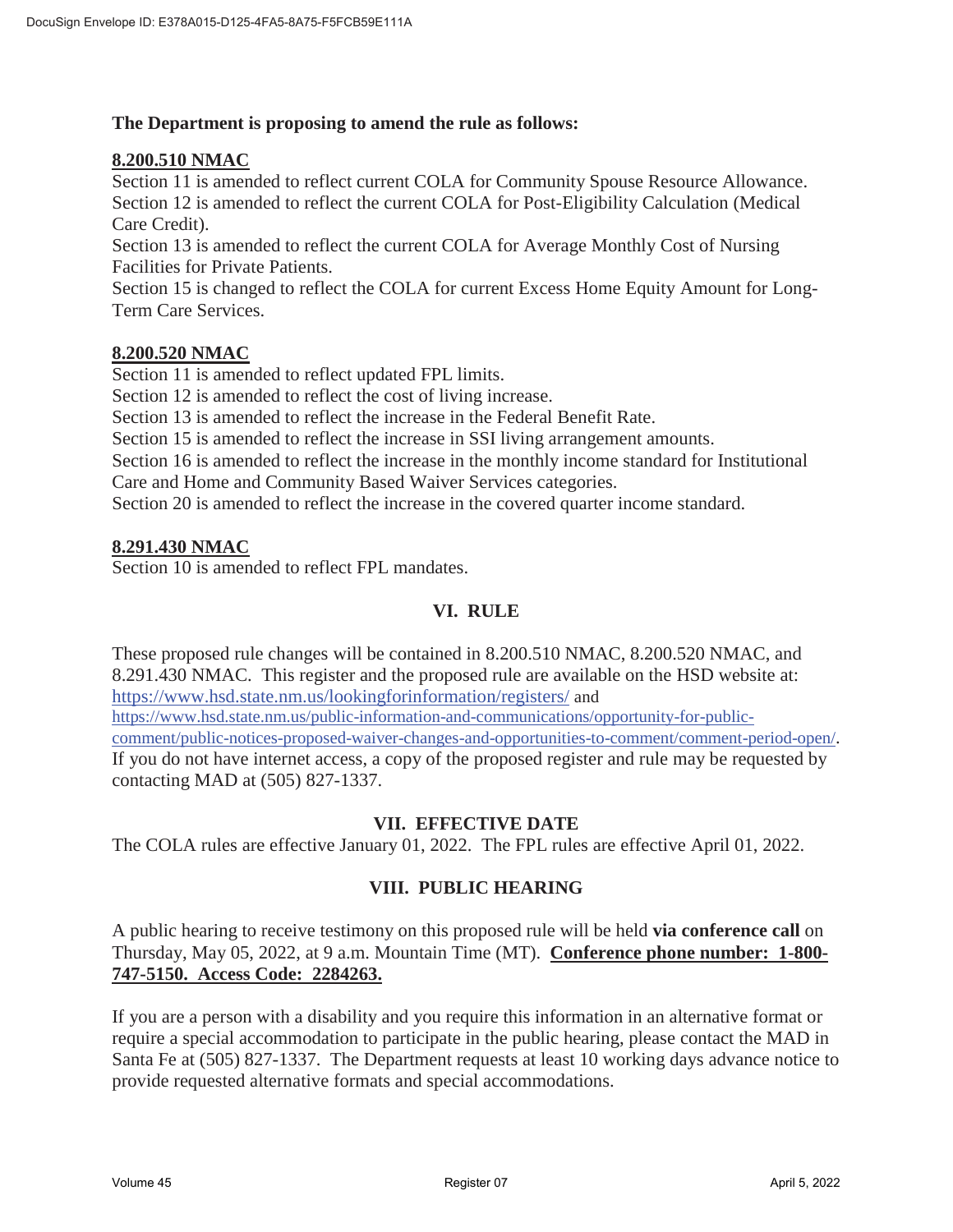### **The Department is proposing to amend the rule as follows:**

### **8.200.510 NMAC**

Section 11 is amended to reflect current COLA for Community Spouse Resource Allowance. Section 12 is amended to reflect the current COLA for Post-Eligibility Calculation (Medical Care Credit).

Section 13 is amended to reflect the current COLA for Average Monthly Cost of Nursing Facilities for Private Patients.

Section 15 is changed to reflect the COLA for current Excess Home Equity Amount for Long-Term Care Services.

### **8.200.520 NMAC**

Section 11 is amended to reflect updated FPL limits.

Section 12 is amended to reflect the cost of living increase.

Section 13 is amended to reflect the increase in the Federal Benefit Rate.

Section 15 is amended to reflect the increase in SSI living arrangement amounts.

Section 16 is amended to reflect the increase in the monthly income standard for Institutional Care and Home and Community Based Waiver Services categories.

Section 20 is amended to reflect the increase in the covered quarter income standard.

#### **8.291.430 NMAC**

Section 10 is amended to reflect FPL mandates.

### **VI. RULE**

These proposed rule changes will be contained in 8.200.510 NMAC, 8.200.520 NMAC, and 8.291.430 NMAC. This register and the proposed rule are available on the HSD website at: https://www.hsd.state.nm.us/lookingforinformation/registers/ and https://www.hsd.state.nm.us/public-information-and-communications/opportunity-for-publiccomment/public-notices-proposed-waiver-changes-and-opportunities-to-comment/comment-period-open/. If you do not have internet access, a copy of the proposed register and rule may be requested by contacting MAD at (505) 827-1337.

### **VII. EFFECTIVE DATE**

The COLA rules are effective January 01, 2022. The FPL rules are effective April 01, 2022.

### **VIII. PUBLIC HEARING**

A public hearing to receive testimony on this proposed rule will be held **via conference call** on Thursday, May 05, 2022, at 9 a.m. Mountain Time (MT). **Conference phone number: 1-800- 747-5150. Access Code: 2284263.**

If you are a person with a disability and you require this information in an alternative format or require a special accommodation to participate in the public hearing, please contact the MAD in Santa Fe at (505) 827-1337. The Department requests at least 10 working days advance notice to provide requested alternative formats and special accommodations.